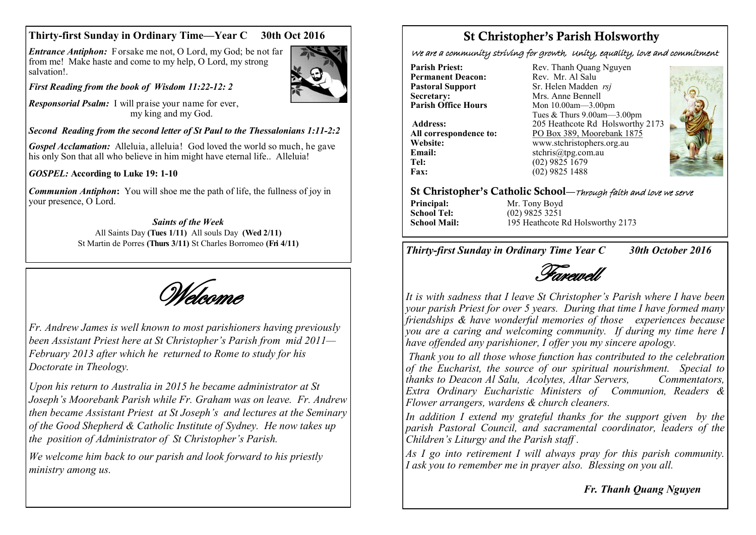### **Thirty-first Sunday in Ordinary Time—Year C 30th Oct 2016**

*Entrance Antiphon:* Forsake me not, O Lord, my God; be not far from me! Make haste and come to my help, O Lord, my strong salvation!.



*First Reading from the book of Wisdom 11:22-12: 2*

*Responsorial Psalm:* I will praise your name for ever, my king and my God.

### *Second Reading from the second letter of St Paul to the Thessalonians 1:11-2:2*

*Gospel Acclamation:* Alleluia, alleluia! God loved the world so much, he gave his only Son that all who believe in him might have eternal life.. Alleluia!

#### *GOSPEL:* **According to Luke 19: 1-10**

*Communion Antiphon***:** You will shoe me the path of life, the fullness of joy in your presence, O Lord.

#### *Saints of the Week* All Saints Day **(Tues 1/11)** All souls Day **(Wed 2/11)**  St Martin de Porres **(Thurs 3/11)** St Charles Borromeo **(Fri 4/11)**

Welcome

*Fr. Andrew James is well known to most parishioners having previously been Assistant Priest here at St Christopher's Parish from mid 2011— February 2013 after which he returned to Rome to study for his Doctorate in Theology.* 

*Upon his return to Australia in 2015 he became administrator at St Joseph's Moorebank Parish while Fr. Graham was on leave. Fr. Andrew then became Assistant Priest at St Joseph's and lectures at the Seminary of the Good Shepherd & Catholic Institute of Sydney. He now takes up the position of Administrator of St Christopher's Parish.*

*We welcome him back to our parish and look forward to his priestly ministry among us.*

# St Christopher's Parish Holsworthy

We are a community striving for growth, Unity, equality, love and commitment

**Permanent Deacon:**<br>**Pastoral Support Secretary:** Mrs. Anne Bennell<br> **Parish Office Hours** Mon 10.00am 3.00

**Email:** stchris@tpg.com.au<br> **Tel:** (02) 9825 1679 **Tel:** (02) 9825 1679<br>**Fax:** (02) 9825 1488

**Parish Priest:** Rev. Thanh Quang Nguyen<br> **Permanent Deacon:** Rev. Mr. Al Salu **Pastoral Support** Sr. Helen Madden *rsj*<br>
Secretary: Mrs. Anne Bennell **Parish Office Hours** Mon 10.00am—3.00pm Tues & Thurs 9.00am—3.00pm **Address:** 205 Heathcote Rd Holsworthy 2173 **All correspondence to:** PO Box 389, Moorebank 1875 **Website:** www.stchristophers.org.au<br> **Email:** stchris@tng.com au **Fax:** (02) 9825 1488



#### St Christopher's Catholic School—Through faith and love we serve

**Principal:** Mr. Tony Boyd **School Tel:** (02) 9825 3251 **School Mail:** 195 Heathcote Rd Holsworthy 2173

*Thirty-first Sunday in Ordinary Time Year C 30th October 2016*

Farewell

*It is with sadness that I leave St Christopher's Parish where I have been your parish Priest for over 5 years. During that time I have formed many friendships & have wonderful memories of those experiences because you are a caring and welcoming community. If during my time here I have offended any parishioner, I offer you my sincere apology.*

*Thank you to all those whose function has contributed to the celebration of the Eucharist, the source of our spiritual nourishment. Special to thanks to Deacon Al Salu, Acolytes, Altar Servers, Extra Ordinary Eucharistic Ministers of Communion, Readers & Flower arrangers, wardens & church cleaners.* 

*In addition I extend my grateful thanks for the support given by the parish Pastoral Council, and sacramental coordinator, leaders of the Children's Liturgy and the Parish staff .* 

*As I go into retirement I will always pray for this parish community. I ask you to remember me in prayer also. Blessing on you all.*

### *Fr. Thanh Quang Nguyen*